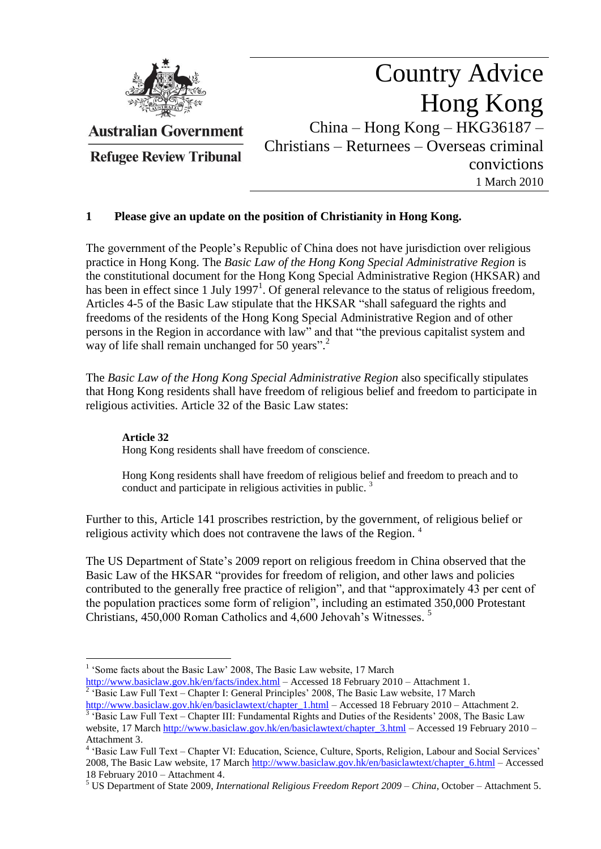

**Australian Government** 

**Refugee Review Tribunal** 

# Country Advice Hong Kong China – Hong Kong – HKG36187 – Christians – Returnees – Overseas criminal convictions 1 March 2010

## **1 Please give an update on the position of Christianity in Hong Kong.**

The government of the People"s Republic of China does not have jurisdiction over religious practice in Hong Kong. The *Basic Law of the Hong Kong Special Administrative Region* is the constitutional document for the Hong Kong Special Administrative Region (HKSAR) and has been in effect since 1 July 1997<sup>1</sup>. Of general relevance to the status of religious freedom, Articles 4-5 of the Basic Law stipulate that the HKSAR "shall safeguard the rights and freedoms of the residents of the Hong Kong Special Administrative Region and of other persons in the Region in accordance with law" and that "the previous capitalist system and way of life shall remain unchanged for 50 years".<sup>2</sup>

The *Basic Law of the Hong Kong Special Administrative Region* also specifically stipulates that Hong Kong residents shall have freedom of religious belief and freedom to participate in religious activities. Article 32 of the Basic Law states:

## **Article 32**

Hong Kong residents shall have freedom of conscience.

Hong Kong residents shall have freedom of religious belief and freedom to preach and to conduct and participate in religious activities in public.<sup>3</sup>

Further to this, Article 141 proscribes restriction, by the government, of religious belief or religious activity which does not contravene the laws of the Region.<sup>4</sup>

The US Department of State's 2009 report on religious freedom in China observed that the Basic Law of the HKSAR "provides for freedom of religion, and other laws and policies contributed to the generally free practice of religion", and that "approximately 43 per cent of the population practices some form of religion", including an estimated 350,000 Protestant Christians, 450,000 Roman Catholics and 4,600 Jehovah's Witnesses.<sup>5</sup>

<sup>2</sup> 'Basic Law Full Text – Chapter I: General Principles' 2008, The Basic Law website, 17 March [http://www.basiclaw.gov.hk/en/basiclawtext/chapter\\_1.html](http://www.basiclaw.gov.hk/en/basiclawtext/chapter_1.html) – Accessed 18 February 2010 – Attachment 2.

<sup>&</sup>lt;u>.</u> <sup>1</sup> 'Some facts about the Basic Law' 2008, The Basic Law website, 17 March <http://www.basiclaw.gov.hk/en/facts/index.html> – Accessed 18 February 2010 – Attachment 1.

<sup>&</sup>lt;sup>3</sup> 'Basic Law Full Text – Chapter III: Fundamental Rights and Duties of the Residents' 2008, The Basic Law website, 17 March http://www.basiclaw.gov.hk/en/basiclawtext/chapter 3.html – Accessed 19 February 2010 –

Attachment 3.<br><sup>4</sup> 'Basic Law Full Text – Chapter VI: Education, Science, Culture, Sports, Religion, Labour and Social Services' 2008, The Basic Law website, 17 Marc[h http://www.basiclaw.gov.hk/en/basiclawtext/chapter\\_6.html](http://www.basiclaw.gov.hk/en/basiclawtext/chapter_6.html) – Accessed 18 February 2010 – Attachment 4.

<sup>5</sup> US Department of State 2009, *International Religious Freedom Report 2009 – China*, October – Attachment 5.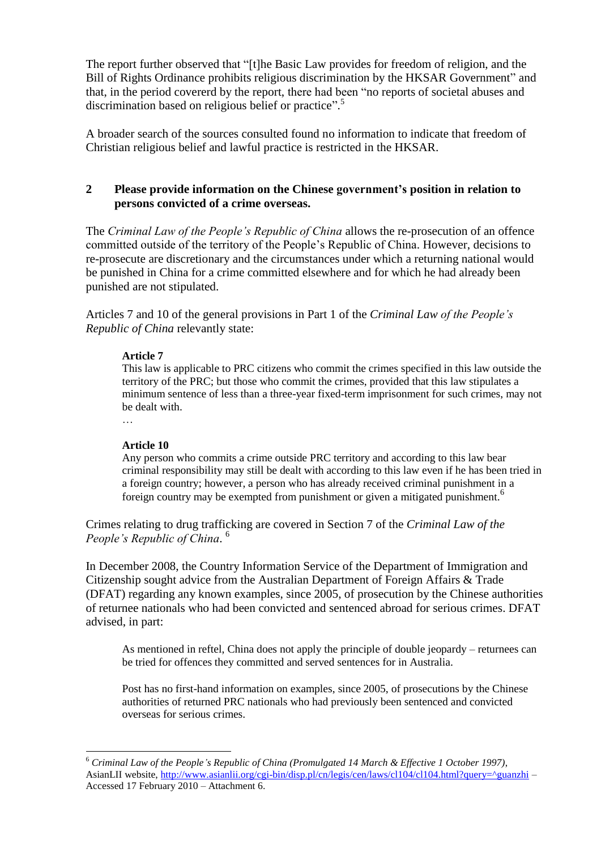The report further observed that "[t]he Basic Law provides for freedom of religion, and the Bill of Rights Ordinance prohibits religious discrimination by the HKSAR Government" and that, in the period covererd by the report, there had been "no reports of societal abuses and discrimination based on religious belief or practice".<sup>5</sup>

A broader search of the sources consulted found no information to indicate that freedom of Christian religious belief and lawful practice is restricted in the HKSAR.

## **2 Please provide information on the Chinese government's position in relation to persons convicted of a crime overseas.**

The *Criminal Law of the People's Republic of China* allows the re-prosecution of an offence committed outside of the territory of the People"s Republic of China. However, decisions to re-prosecute are discretionary and the circumstances under which a returning national would be punished in China for a crime committed elsewhere and for which he had already been punished are not stipulated.

Articles 7 and 10 of the general provisions in Part 1 of the *Criminal Law of the People's Republic of China* relevantly state:

#### **Article 7**

This law is applicable to PRC citizens who commit the crimes specified in this law outside the territory of the PRC; but those who commit the crimes, provided that this law stipulates a minimum sentence of less than a three-year fixed-term imprisonment for such crimes, may not be dealt with.

…

<u>.</u>

#### **Article 10**

Any person who commits a crime outside PRC territory and according to this law bear criminal responsibility may still be dealt with according to this law even if he has been tried in a foreign country; however, a person who has already received criminal punishment in a foreign country may be exempted from punishment or given a mitigated punishment.<sup>6</sup>

Crimes relating to drug trafficking are covered in Section 7 of the *Criminal Law of the People's Republic of China*. 6

In December 2008, the Country Information Service of the Department of Immigration and Citizenship sought advice from the Australian Department of Foreign Affairs & Trade (DFAT) regarding any known examples, since 2005, of prosecution by the Chinese authorities of returnee nationals who had been convicted and sentenced abroad for serious crimes. DFAT advised, in part:

As mentioned in reftel, China does not apply the principle of double jeopardy – returnees can be tried for offences they committed and served sentences for in Australia.

Post has no first-hand information on examples, since 2005, of prosecutions by the Chinese authorities of returned PRC nationals who had previously been sentenced and convicted overseas for serious crimes.

<sup>6</sup> *Criminal Law of the People's Republic of China (Promulgated 14 March & Effective 1 October 1997)*, AsianLII website, [http://www.asianlii.org/cgi-bin/disp.pl/cn/legis/cen/laws/cl104/cl104.html?query=^guanzhi](http://www.asianlii.org/cgi-bin/disp.pl/cn/legis/cen/laws/cl104/cl104.html?query=%5eguanzhi) – Accessed 17 February 2010 – Attachment 6.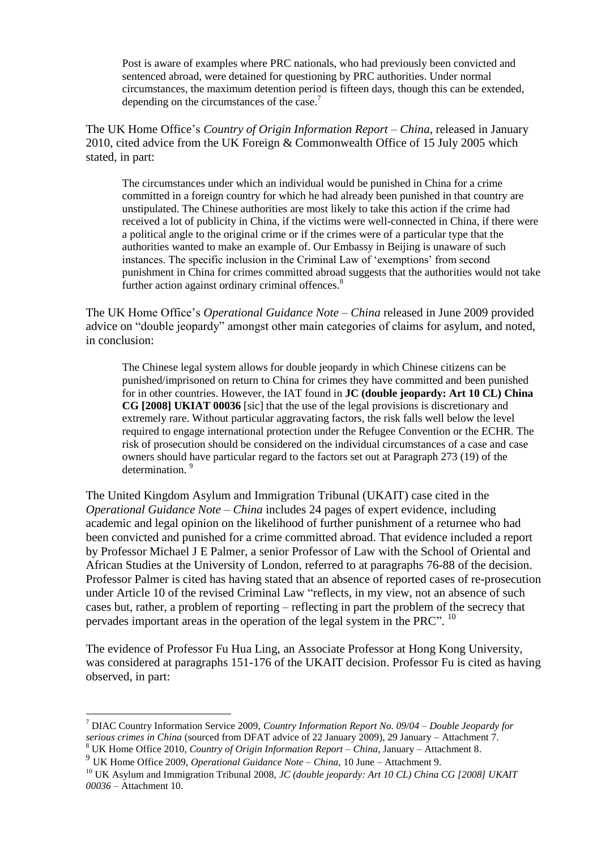Post is aware of examples where PRC nationals, who had previously been convicted and sentenced abroad, were detained for questioning by PRC authorities. Under normal circumstances, the maximum detention period is fifteen days, though this can be extended, depending on the circumstances of the case.<sup>7</sup>

The UK Home Office"s *Country of Origin Information Report – China*, released in January 2010, cited advice from the UK Foreign & Commonwealth Office of 15 July 2005 which stated, in part:

The circumstances under which an individual would be punished in China for a crime committed in a foreign country for which he had already been punished in that country are unstipulated. The Chinese authorities are most likely to take this action if the crime had received a lot of publicity in China, if the victims were well-connected in China, if there were a political angle to the original crime or if the crimes were of a particular type that the authorities wanted to make an example of. Our Embassy in Beijing is unaware of such instances. The specific inclusion in the Criminal Law of "exemptions" from second punishment in China for crimes committed abroad suggests that the authorities would not take further action against ordinary criminal offences.<sup>8</sup>

The UK Home Office"s *Operational Guidance Note – China* released in June 2009 provided advice on "double jeopardy" amongst other main categories of claims for asylum, and noted, in conclusion:

The Chinese legal system allows for double jeopardy in which Chinese citizens can be punished/imprisoned on return to China for crimes they have committed and been punished for in other countries. However, the IAT found in **JC (double jeopardy: Art 10 CL) China CG [2008] UKIAT 00036** [sic] that the use of the legal provisions is discretionary and extremely rare. Without particular aggravating factors, the risk falls well below the level required to engage international protection under the Refugee Convention or the ECHR. The risk of prosecution should be considered on the individual circumstances of a case and case owners should have particular regard to the factors set out at Paragraph 273 (19) of the determination.<sup>9</sup>

The United Kingdom Asylum and Immigration Tribunal (UKAIT) case cited in the *Operational Guidance Note – China* includes 24 pages of expert evidence, including academic and legal opinion on the likelihood of further punishment of a returnee who had been convicted and punished for a crime committed abroad. That evidence included a report by Professor Michael J E Palmer, a senior Professor of Law with the School of Oriental and African Studies at the University of London, referred to at paragraphs 76-88 of the decision. Professor Palmer is cited has having stated that an absence of reported cases of re-prosecution under Article 10 of the revised Criminal Law "reflects, in my view, not an absence of such cases but, rather, a problem of reporting – reflecting in part the problem of the secrecy that pervades important areas in the operation of the legal system in the PRC". <sup>10</sup>

The evidence of Professor Fu Hua Ling, an Associate Professor at Hong Kong University, was considered at paragraphs 151-176 of the UKAIT decision. Professor Fu is cited as having observed, in part:

<u>.</u>

<sup>7</sup> DIAC Country Information Service 2009, *Country Information Report No. 09/04 – Double Jeopardy for serious crimes in China* (sourced from DFAT advice of 22 January 2009), 29 January – Attachment 7. <sup>8</sup> UK Home Office 2010, *Country of Origin Information Report – China*, January – Attachment 8.

<sup>9</sup> UK Home Office 2009, *Operational Guidance Note – China*, 10 June – Attachment 9.

<sup>10</sup> UK Asylum and Immigration Tribunal 2008, *JC (double jeopardy: Art 10 CL) China CG [2008] UKAIT 00036* – Attachment 10.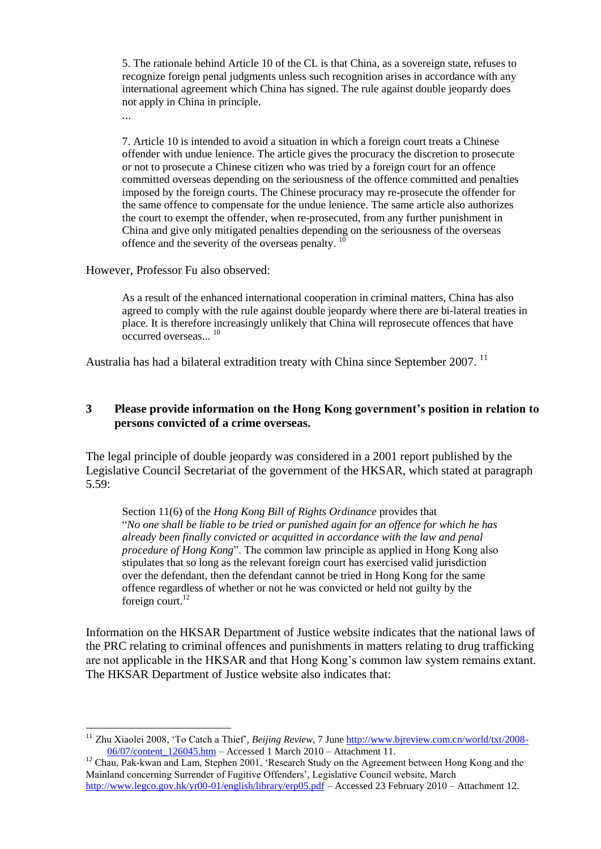5. The rationale behind Article 10 of the CL is that China, as a sovereign state, refuses to recognize foreign penal judgments unless such recognition arises in accordance with any international agreement which China has signed. The rule against double jeopardy does not apply in China in principle.

...

<u>.</u>

7. Article 10 is intended to avoid a situation in which a foreign court treats a Chinese offender with undue lenience. The article gives the procuracy the discretion to prosecute or not to prosecute a Chinese citizen who was tried by a foreign court for an offence committed overseas depending on the seriousness of the offence committed and penalties imposed by the foreign courts. The Chinese procuracy may re-prosecute the offender for the same offence to compensate for the undue lenience. The same article also authorizes the court to exempt the offender, when re-prosecuted, from any further punishment in China and give only mitigated penalties depending on the seriousness of the overseas offence and the severity of the overseas penalty. <sup>10</sup>

However, Professor Fu also observed:

As a result of the enhanced international cooperation in criminal matters, China has also agreed to comply with the rule against double jeopardy where there are bi-lateral treaties in place. It is therefore increasingly unlikely that China will reprosecute offences that have occurred overseas...<sup>10</sup>

Australia has had a bilateral extradition treaty with China since September 2007.<sup>11</sup>

## **3 Please provide information on the Hong Kong government's position in relation to persons convicted of a crime overseas.**

The legal principle of double jeopardy was considered in a 2001 report published by the Legislative Council Secretariat of the government of the HKSAR, which stated at paragraph 5.59:

Section 11(6) of the *Hong Kong Bill of Rights Ordinance* provides that "*No one shall be liable to be tried or punished again for an offence for which he has already been finally convicted or acquitted in accordance with the law and penal procedure of Hong Kong*". The common law principle as applied in Hong Kong also stipulates that so long as the relevant foreign court has exercised valid jurisdiction over the defendant, then the defendant cannot be tried in Hong Kong for the same offence regardless of whether or not he was convicted or held not guilty by the foreign court. $^{12}$ 

Information on the HKSAR Department of Justice website indicates that the national laws of the PRC relating to criminal offences and punishments in matters relating to drug trafficking are not applicable in the HKSAR and that Hong Kong"s common law system remains extant. The HKSAR Department of Justice website also indicates that:

<sup>11</sup> Zhu Xiaolei 2008, "To Catch a Thief", *Beijing Review*, 7 June [http://www.bjreview.com.cn/world/txt/2008-](http://www.bjreview.com.cn/world/txt/2008-06/07/content_126045.htm) [06/07/content\\_126045.htm](http://www.bjreview.com.cn/world/txt/2008-06/07/content_126045.htm) – Accessed 1 March 2010 – Attachment 11.

<sup>&</sup>lt;sup>12</sup> Chau, Pak-kwan and Lam, Stephen 2001, 'Research Study on the Agreement between Hong Kong and the Mainland concerning Surrender of Fugitive Offenders", Legislative Council website, March <http://www.legco.gov.hk/yr00-01/english/library/erp05.pdf> – Accessed 23 February 2010 – Attachment 12.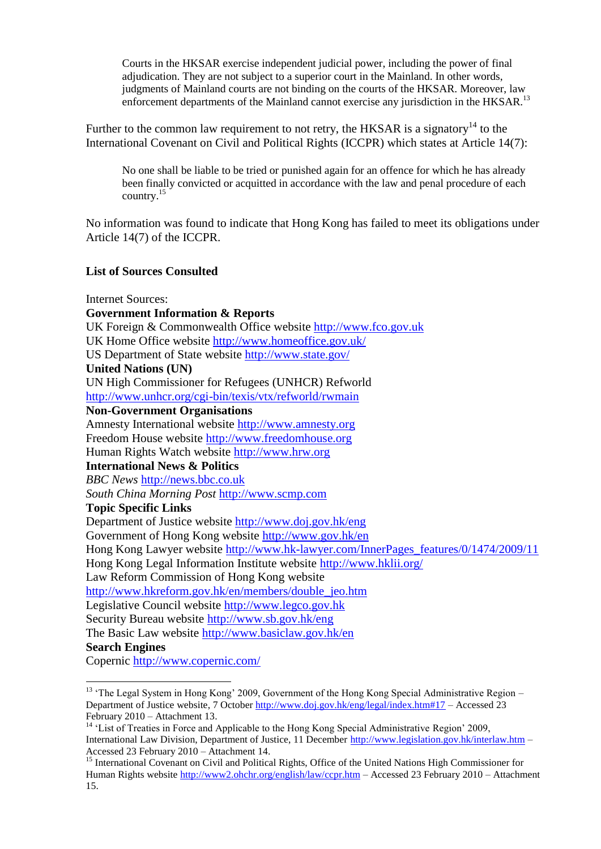Courts in the HKSAR exercise independent judicial power, including the power of final adjudication. They are not subject to a superior court in the Mainland. In other words, judgments of Mainland courts are not binding on the courts of the HKSAR. Moreover, law enforcement departments of the Mainland cannot exercise any jurisdiction in the HKSAR.<sup>13</sup>

Further to the common law requirement to not retry, the HKSAR is a signatory<sup>14</sup> to the International Covenant on Civil and Political Rights (ICCPR) which states at Article 14(7):

No one shall be liable to be tried or punished again for an offence for which he has already been finally convicted or acquitted in accordance with the law and penal procedure of each country.<sup>15</sup>

No information was found to indicate that Hong Kong has failed to meet its obligations under Article 14(7) of the ICCPR.

### **List of Sources Consulted**

Internet Sources:

<u>.</u>

**Government Information & Reports** UK Foreign & Commonwealth Office website [http://www.fco.gov.uk](http://www.fco.gov.uk/) UK Home Office website <http://www.homeoffice.gov.uk/> US Department of State website <http://www.state.gov/> **United Nations (UN)** UN High Commissioner for Refugees (UNHCR) Refworld <http://www.unhcr.org/cgi-bin/texis/vtx/refworld/rwmain> **Non-Government Organisations** Amnesty International website [http://www.amnesty.org](http://www.amnesty.org/) Freedom House website [http://www.freedomhouse.org](http://www.freedomhouse.org/) Human Rights Watch website [http://www.hrw.org](http://www.hrw.org/) **International News & Politics** *BBC News* [http://news.bbc.co.uk](http://news.bbc.co.uk/) *South China Morning Post* [http://www.scmp.com](http://www.scmp.com/) **Topic Specific Links** Department of Justice website<http://www.doj.gov.hk/eng> Government of Hong Kong website<http://www.gov.hk/en> Hong Kong Lawyer website [http://www.hk-lawyer.com/InnerPages\\_features/0/1474/2009/11](http://www.hk-lawyer.com/InnerPages_features/0/1474/2009/11) Hong Kong Legal Information Institute website<http://www.hklii.org/> Law Reform Commission of Hong Kong website [http://www.hkreform.gov.hk/en/members/double\\_jeo.htm](http://www.hkreform.gov.hk/en/members/double_jeo.htm) Legislative Council website [http://www.legco.gov.hk](http://www.legco.gov.hk/)  Security Bureau website<http://www.sb.gov.hk/eng> The Basic Law website<http://www.basiclaw.gov.hk/en> **Search Engines** Copernic<http://www.copernic.com/>

<sup>&</sup>lt;sup>13</sup> 'The Legal System in Hong Kong' 2009, Government of the Hong Kong Special Administrative Region – Department of Justice website, 7 October<http://www.doj.gov.hk/eng/legal/index.htm#17> – Accessed 23 February 2010 – Attachment 13.

<sup>&</sup>lt;sup>14</sup> 'List of Treaties in Force and Applicable to the Hong Kong Special Administrative Region' 2009, International Law Division, Department of Justice, 11 December<http://www.legislation.gov.hk/interlaw.htm> – Accessed 23 February 2010 – Attachment 14.

<sup>&</sup>lt;sup>15</sup> International Covenant on Civil and Political Rights, Office of the United Nations High Commissioner for Human Rights websit[e http://www2.ohchr.org/english/law/ccpr.htm](http://www2.ohchr.org/english/law/ccpr.htm) – Accessed 23 February 2010 – Attachment 15.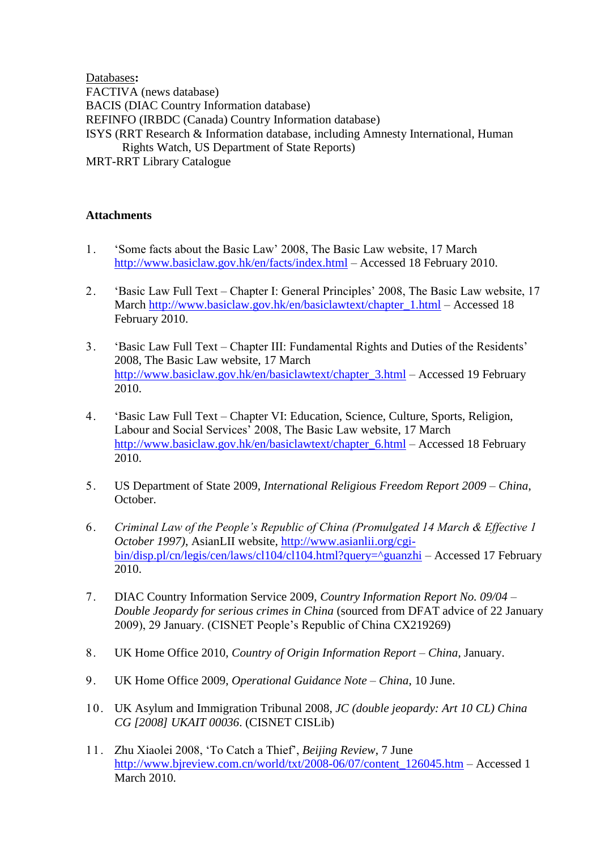Databases**:**  FACTIVA (news database) BACIS (DIAC Country Information database) REFINFO (IRBDC (Canada) Country Information database) ISYS (RRT Research & Information database, including Amnesty International, Human Rights Watch, US Department of State Reports) MRT-RRT Library Catalogue

## **Attachments**

- 1. "Some facts about the Basic Law" 2008, The Basic Law website, 17 March <http://www.basiclaw.gov.hk/en/facts/index.html> – Accessed 18 February 2010.
- 2. "Basic Law Full Text Chapter I: General Principles' 2008, The Basic Law website, 17 March [http://www.basiclaw.gov.hk/en/basiclawtext/chapter\\_1.html](http://www.basiclaw.gov.hk/en/basiclawtext/chapter_1.html) – Accessed 18 February 2010.
- 3. "Basic Law Full Text Chapter III: Fundamental Rights and Duties of the Residents" 2008, The Basic Law website, 17 March [http://www.basiclaw.gov.hk/en/basiclawtext/chapter\\_3.html](http://www.basiclaw.gov.hk/en/basiclawtext/chapter_3.html) – Accessed 19 February 2010.
- 4. "Basic Law Full Text Chapter VI: Education, Science, Culture, Sports, Religion, Labour and Social Services" 2008, The Basic Law website, 17 March [http://www.basiclaw.gov.hk/en/basiclawtext/chapter\\_6.html](http://www.basiclaw.gov.hk/en/basiclawtext/chapter_6.html) – Accessed 18 February 2010.
- 5. US Department of State 2009, *International Religious Freedom Report 2009 – China*, October.
- 6. *Criminal Law of the People's Republic of China (Promulgated 14 March & Effective 1 October 1997)*, AsianLII website, [http://www.asianlii.org/cgi](http://www.asianlii.org/cgi-bin/disp.pl/cn/legis/cen/laws/cl104/cl104.html?query=%5eguanzhi)[bin/disp.pl/cn/legis/cen/laws/cl104/cl104.html?query=^guanzhi](http://www.asianlii.org/cgi-bin/disp.pl/cn/legis/cen/laws/cl104/cl104.html?query=%5eguanzhi) – Accessed 17 February 2010.
- 7. DIAC Country Information Service 2009, *Country Information Report No. 09/04 – Double Jeopardy for serious crimes in China* (sourced from DFAT advice of 22 January 2009), 29 January. (CISNET People"s Republic of China CX219269)
- 8. UK Home Office 2010, *Country of Origin Information Report – China*, January.
- 9. UK Home Office 2009, *Operational Guidance Note – China*, 10 June.
- 10. UK Asylum and Immigration Tribunal 2008, *JC (double jeopardy: Art 10 CL) China CG [2008] UKAIT 00036*. (CISNET CISLib)
- 11. Zhu Xiaolei 2008, "To Catch a Thief", *Beijing Review*, 7 June [http://www.bjreview.com.cn/world/txt/2008-06/07/content\\_126045.htm](http://www.bjreview.com.cn/world/txt/2008-06/07/content_126045.htm) – Accessed 1 **March 2010.**